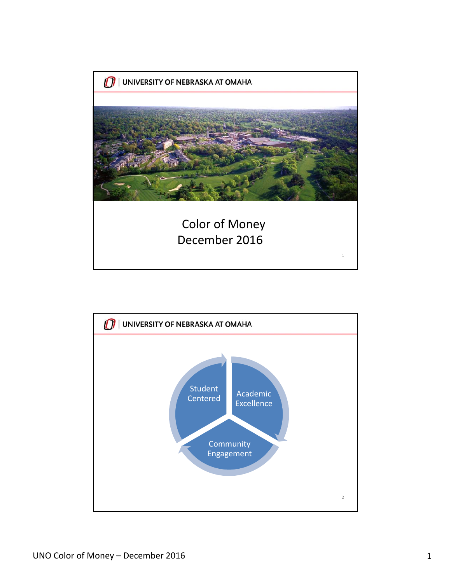

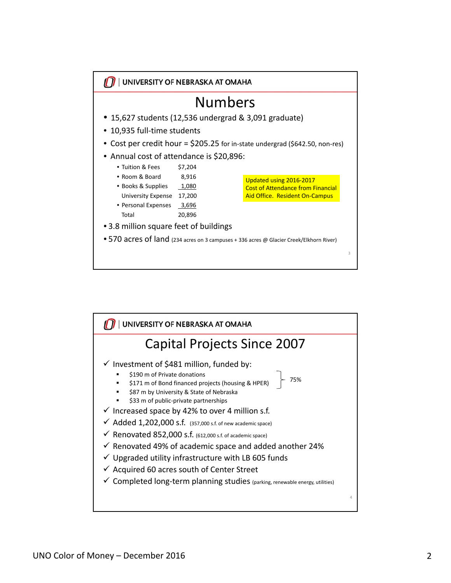

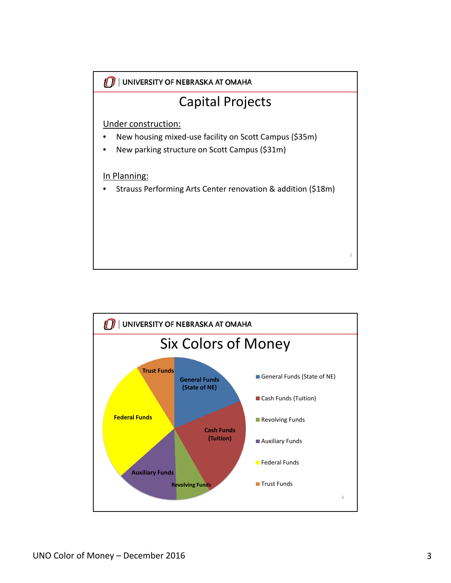

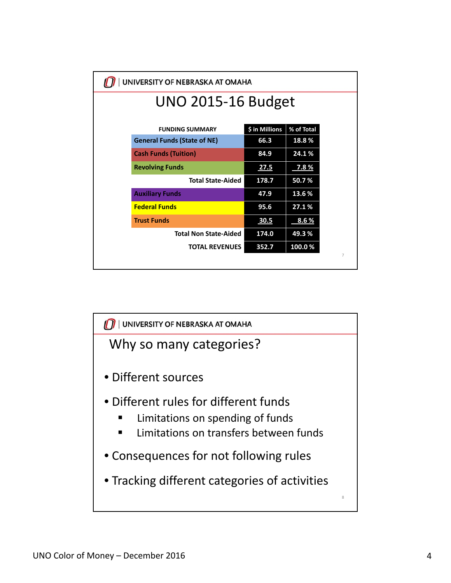| UNIVERSITY OF NEBRASKA AT OMAHA    |                |                |  |
|------------------------------------|----------------|----------------|--|
| <b>UNO 2015-16 Budget</b>          |                |                |  |
|                                    |                |                |  |
| <b>FUNDING SUMMARY</b>             | \$ in Millions | % of Total     |  |
| <b>General Funds (State of NE)</b> | 66.3           | 18.8%          |  |
| <b>Cash Funds (Tuition)</b>        | 84.9           | 24.1%          |  |
| <b>Revolving Funds</b>             | <b>27.5</b>    | <u>7.8%</u>    |  |
| <b>Total State-Aided</b>           | 178.7          | 50.7%          |  |
| <b>Auxiliary Funds</b>             | 47.9           | 13.6%          |  |
| <b>Federal Funds</b>               | 95.6           | 27.1%          |  |
| <b>Trust Funds</b>                 | 30.5           | <u>8.6%</u>    |  |
| <b>Total Non State-Aided</b>       | 174.0          | 49.3%          |  |
| <b>TOTAL REVENUES</b>              | 352.7          | 100.0%         |  |
|                                    |                | $\overline{7}$ |  |

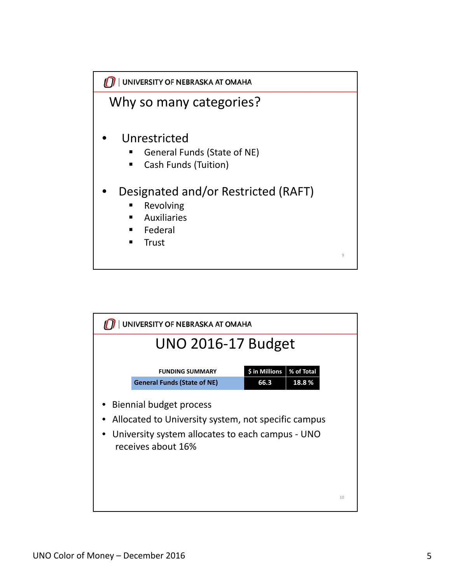

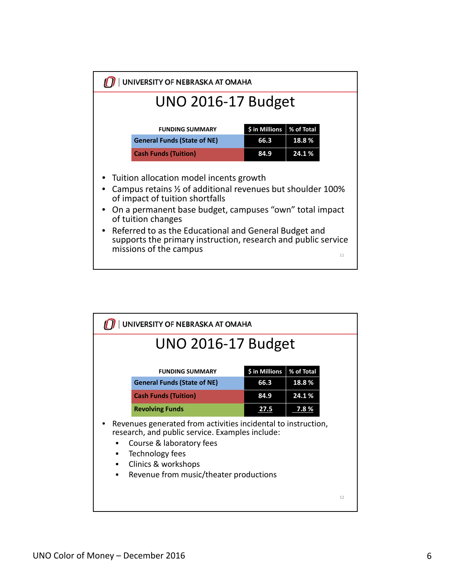

| UNIVERSITY OF NEBRASKA AT OMAHA |                                                                                                                                                                                                                                  |                        |                     |    |
|---------------------------------|----------------------------------------------------------------------------------------------------------------------------------------------------------------------------------------------------------------------------------|------------------------|---------------------|----|
| <b>UNO 2016-17 Budget</b>       |                                                                                                                                                                                                                                  |                        |                     |    |
|                                 | <b>FUNDING SUMMARY</b><br><b>General Funds (State of NE)</b>                                                                                                                                                                     | \$ in Millions<br>66.3 | % of Total<br>18.8% |    |
|                                 | <b>Cash Funds (Tuition)</b>                                                                                                                                                                                                      | 84.9                   | 24.1%               |    |
|                                 | <b>Revolving Funds</b>                                                                                                                                                                                                           | 27.5                   | 7.8%                |    |
| п<br>٠<br>п<br>п                | Revenues generated from activities incidental to instruction,<br>research, and public service. Examples include:<br>Course & laboratory fees<br>Technology fees<br>Clinics & workshops<br>Revenue from music/theater productions |                        |                     |    |
|                                 |                                                                                                                                                                                                                                  |                        |                     | 12 |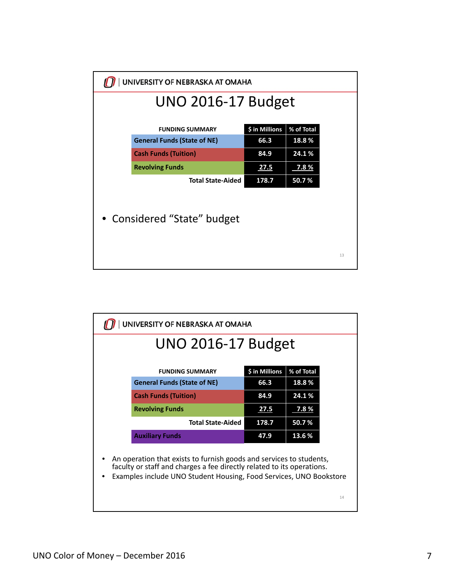| UNIVERSITY OF NEBRASKA AT OMAHA |                                    |                |             |    |
|---------------------------------|------------------------------------|----------------|-------------|----|
|                                 | <b>UNO 2016-17 Budget</b>          |                |             |    |
|                                 |                                    |                |             |    |
|                                 | <b>FUNDING SUMMARY</b>             | \$ in Millions | % of Total  |    |
|                                 | <b>General Funds (State of NE)</b> | 66.3           | 18.8%       |    |
|                                 | <b>Cash Funds (Tuition)</b>        | 84.9           | 24.1%       |    |
|                                 | <b>Revolving Funds</b>             | 27.5           | <u>7.8%</u> |    |
|                                 | <b>Total State-Aided</b>           | 178.7          | 50.7%       |    |
|                                 |                                    |                |             |    |
|                                 |                                    |                |             |    |
|                                 | • Considered "State" budget        |                |             |    |
|                                 |                                    |                |             |    |
|                                 |                                    |                |             |    |
|                                 |                                    |                |             | 13 |
|                                 |                                    |                |             |    |

| UNIVERSITY OF NEBRASKA AT OMAHA                                                                                                                                                                                     |                |            |
|---------------------------------------------------------------------------------------------------------------------------------------------------------------------------------------------------------------------|----------------|------------|
| <b>UNO 2016-17 Budget</b>                                                                                                                                                                                           |                |            |
| <b>FUNDING SUMMARY</b>                                                                                                                                                                                              | \$ in Millions | % of Total |
| <b>General Funds (State of NE)</b>                                                                                                                                                                                  | 66.3           | 18.8%      |
| <b>Cash Funds (Tuition)</b>                                                                                                                                                                                         | 84.9           | 24.1%      |
| <b>Revolving Funds</b>                                                                                                                                                                                              | 27.5           | 7.8 %      |
| <b>Total State-Aided</b>                                                                                                                                                                                            | 178.7          | 50.7%      |
| <b>Auxiliary Funds</b>                                                                                                                                                                                              | 47.9           | 13.6%      |
| An operation that exists to furnish goods and services to students,<br>faculty or staff and charges a fee directly related to its operations.<br>Examples include UNO Student Housing, Food Services, UNO Bookstore |                | 14         |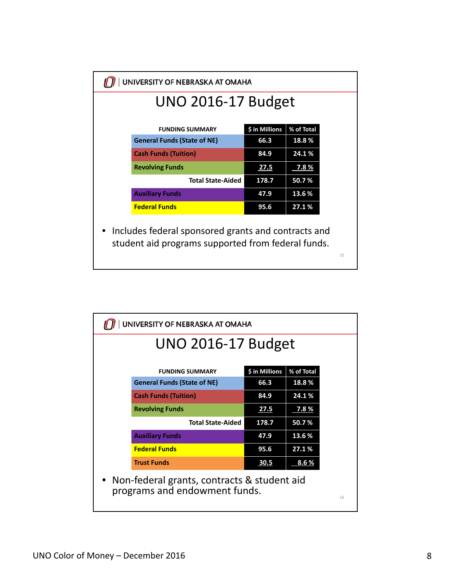| <b>UNO 2016-17 Budget</b>          |                |            |
|------------------------------------|----------------|------------|
| <b>FUNDING SUMMARY</b>             | \$ in Millions | % of Total |
| <b>General Funds (State of NE)</b> | 66.3           | 18.8%      |
| <b>Cash Funds (Tuition)</b>        | 84.9           | 24.1%      |
| <b>Revolving Funds</b>             | 27.5           | 7.8%       |
| <b>Total State-Aided</b>           | 178.7          | 50.7%      |
| <b>Auxiliary Funds</b>             | 47.9           | 13.6 %     |
| <b>Federal Funds</b>               | 95.6           | 27.1%      |

| UNIVERSITY OF NEBRASKA AT OMAHA                                                    |                                    |                |              |  |
|------------------------------------------------------------------------------------|------------------------------------|----------------|--------------|--|
| <b>UNO 2016-17 Budget</b>                                                          |                                    |                |              |  |
|                                                                                    |                                    |                |              |  |
|                                                                                    | <b>FUNDING SUMMARY</b>             | \$ in Millions | % of Total   |  |
|                                                                                    | <b>General Funds (State of NE)</b> | 66.3           | 18.8%        |  |
|                                                                                    | <b>Cash Funds (Tuition)</b>        | 84.9           | 24.1%        |  |
|                                                                                    | <b>Revolving Funds</b>             | 27.5           | $7.8\%$      |  |
|                                                                                    | <b>Total State-Aided</b>           | 178.7          | 50.7%        |  |
|                                                                                    | <b>Auxiliary Funds</b>             | 47.9           | 13.6%        |  |
|                                                                                    | <b>Federal Funds</b>               | 95.6           | 27.1%        |  |
|                                                                                    | <b>Trust Funds</b>                 | 30.5           | <u>8.6 %</u> |  |
| Non-federal grants, contracts & student aid<br>programs and endowment funds.<br>16 |                                    |                |              |  |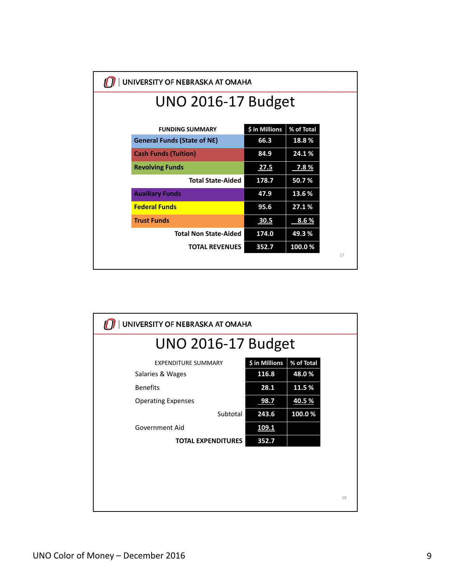| UNIVERSITY OF NEBRASKA AT OMAHA    |                |            |
|------------------------------------|----------------|------------|
| <b>UNO 2016-17 Budget</b>          |                |            |
|                                    |                |            |
| <b>FUNDING SUMMARY</b>             | \$ in Millions | % of Total |
| <b>General Funds (State of NE)</b> | 66.3           | 18.8%      |
| <b>Cash Funds (Tuition)</b>        | 84.9           | 24.1%      |
| <b>Revolving Funds</b>             | <b>27.5</b>    | 7.8%       |
| <b>Total State-Aided</b>           | 178.7          | 50.7%      |
| <b>Auxiliary Funds</b>             | 47.9           | 13.6%      |
| <b>Federal Funds</b>               | 95.6           | 27.1%      |
| <b>Trust Funds</b>                 | 30.5           | 8.6 %      |
| <b>Total Non State-Aided</b>       | 174.0          | 49.3%      |
| <b>TOTAL REVENUES</b>              | 352.7          | 100.0%     |
|                                    |                | 17         |